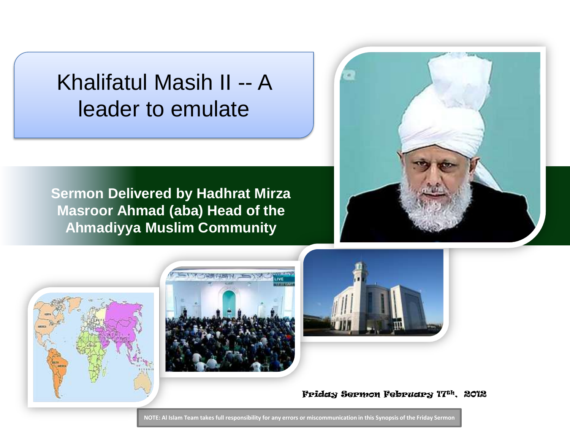### Khalifatul Masih II -- A leader to emulate

**Sermon Delivered by Hadhrat Mirza Masroor Ahmad (aba) Head of the Ahmadiyya Muslim Community**









Friday Sermon February 17th, 2012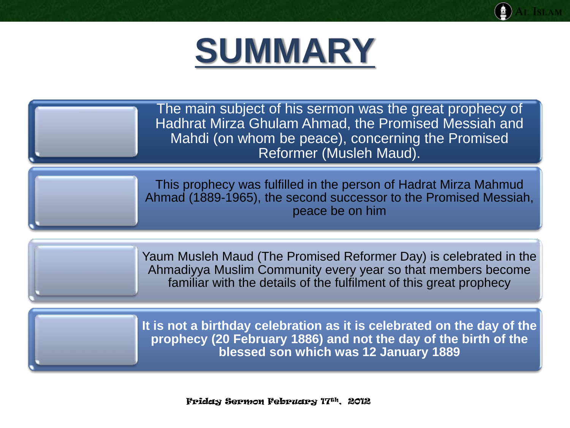

The main subject of his sermon was the great prophecy of Hadhrat Mirza Ghulam Ahmad, the Promised Messiah and Mahdi (on whom be peace), concerning the Promised Reformer (Musleh Maud).

This prophecy was fulfilled in the person of Hadrat Mirza Mahmud Ahmad (1889-1965), the second successor to the Promised Messiah, peace be on him

Yaum Musleh Maud (The Promised Reformer Day) is celebrated in the Ahmadiyya Muslim Community every year so that members become familiar with the details of the fulfilment of this great prophecy

**It is not a birthday celebration as it is celebrated on the day of the prophecy (20 February 1886) and not the day of the birth of the blessed son which was 12 January 1889**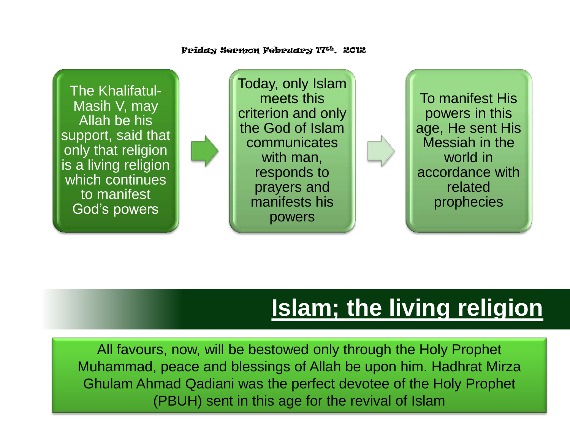Friday Sermon February 17th, 2012

The Khalifatul-Masih V, may Allah be his support, said that only that religion is a living religion which continues to manifest God's powers

Today, only Islam meets this criterion and only the God of Islam communicates with man, responds to prayers and manifests his powers

To manifest His powers in this age, He sent His Messiah in the world in accordance with related prophecies

### **Islam; the living religion**

All favours, now, will be bestowed only through the Holy Prophet Muhammad, peace and blessings of Allah be upon him. Hadhrat Mirza Ghulam Ahmad Qadiani was the perfect devotee of the Holy Prophet (PBUH) sent in this age for the revival of Islam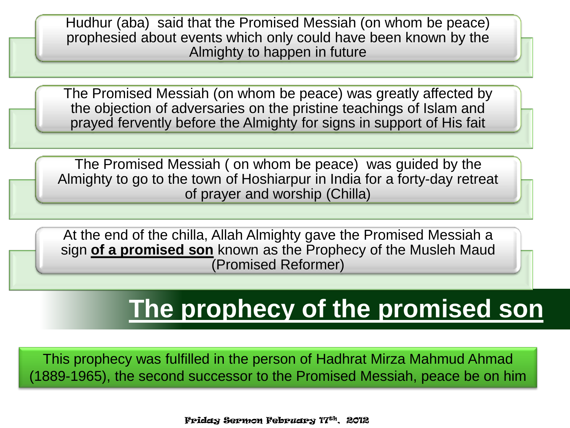Hudhur (aba) said that the Promised Messiah (on whom be peace) prophesied about events which only could have been known by the Almighty to happen in future

The Promised Messiah (on whom be peace) was greatly affected by the objection of adversaries on the pristine teachings of Islam and prayed fervently before the Almighty for signs in support of His fait

The Promised Messiah ( on whom be peace) was guided by the Almighty to go to the town of Hoshiarpur in India for a forty-day retreat of prayer and worship (Chilla)

At the end of the chilla, Allah Almighty gave the Promised Messiah a sign **of a promised son** known as the Prophecy of the Musleh Maud (Promised Reformer)

### **The prophecy of the promised son**

This prophecy was fulfilled in the person of Hadhrat Mirza Mahmud Ahmad (1889-1965), the second successor to the Promised Messiah, peace be on him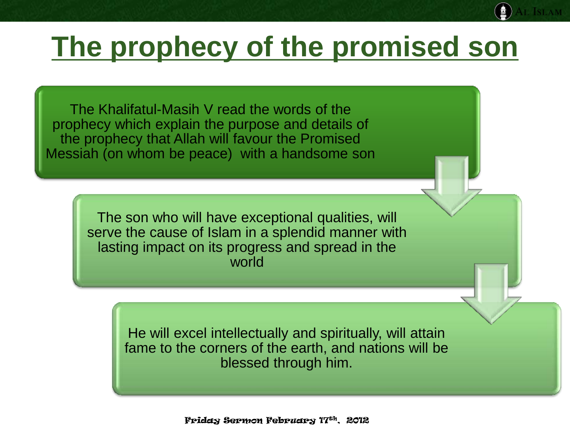# **The prophecy of the promised son**

The Khalifatul-Masih V read the words of the prophecy which explain the purpose and details of the prophecy that Allah will favour the Promised Messiah (on whom be peace) with a handsome son

> The son who will have exceptional qualities, will serve the cause of Islam in a splendid manner with lasting impact on its progress and spread in the world

> > He will excel intellectually and spiritually, will attain fame to the corners of the earth, and nations will be blessed through him.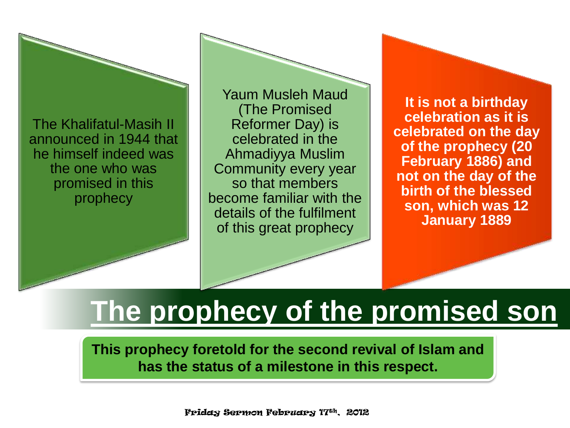The Khalifatul-Masih II announced in 1944 that he himself indeed was the one who was promised in this prophecy

Yaum Musleh Maud (The Promised Reformer Day) is celebrated in the Ahmadiyya Muslim Community every year so that members become familiar with the details of the fulfilment of this great prophecy

**It is not a birthday celebration as it is celebrated on the day of the prophecy (20 February 1886) and not on the day of the birth of the blessed son, which was 12 January 1889**

# **The prophecy of the promised son**

**This prophecy foretold for the second revival of Islam and has the status of a milestone in this respect.**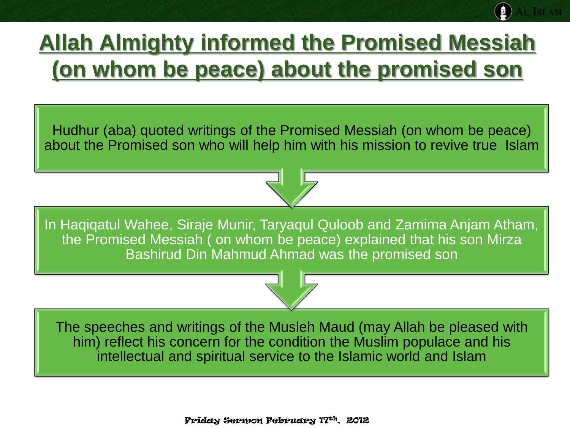### **Allah Almighty informed the Promised Messiah (on whom be peace) about the promised son**

Hudhur (aba) quoted writings of the Promised Messiah (on whom be peace) about the Promised son who will help him with his mission to revive true Islam

In Haqiqatul Wahee, Siraje Munir, Taryaqul Quloob and Zamima Anjam Atham, the Promised Messiah ( on whom be peace) explained that his son Mirza Bashirud Din Mahmud Ahmad was the promised son

The speeches and writings of the Musleh Maud (may Allah be pleased with him) reflect his concern for the condition the Muslim populace and his intellectual and spiritual service to the Islamic world and Islam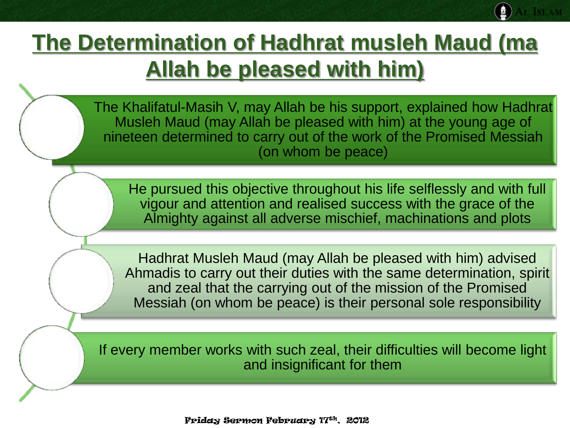### **The Determination of Hadhrat musleh Maud (ma Allah be pleased with him)**

The Khalifatul-Masih V, may Allah be his support, explained how Hadhrat Musleh Maud (may Allah be pleased with him) at the young age of nineteen determined to carry out of the work of the Promised Messiah (on whom be peace)

He pursued this objective throughout his life selflessly and with full vigour and attention and realised success with the grace of the Almighty against all adverse mischief, machinations and plots

Hadhrat Musleh Maud (may Allah be pleased with him) advised Ahmadis to carry out their duties with the same determination, spirit and zeal that the carrying out of the mission of the Promised Messiah (on whom be peace) is their personal sole responsibility

If every member works with such zeal, their difficulties will become light and insignificant for them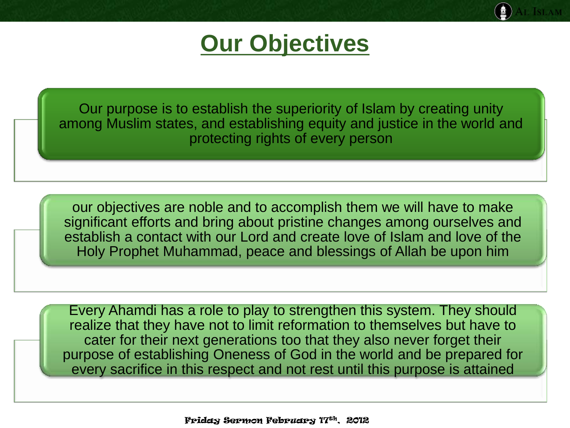### **Our Objectives**

Our purpose is to establish the superiority of Islam by creating unity among Muslim states, and establishing equity and justice in the world and protecting rights of every person

our objectives are noble and to accomplish them we will have to make significant efforts and bring about pristine changes among ourselves and establish a contact with our Lord and create love of Islam and love of the Holy Prophet Muhammad, peace and blessings of Allah be upon him

Every Ahamdi has a role to play to strengthen this system. They should realize that they have not to limit reformation to themselves but have to cater for their next generations too that they also never forget their purpose of establishing Oneness of God in the world and be prepared for every sacrifice in this respect and not rest until this purpose is attained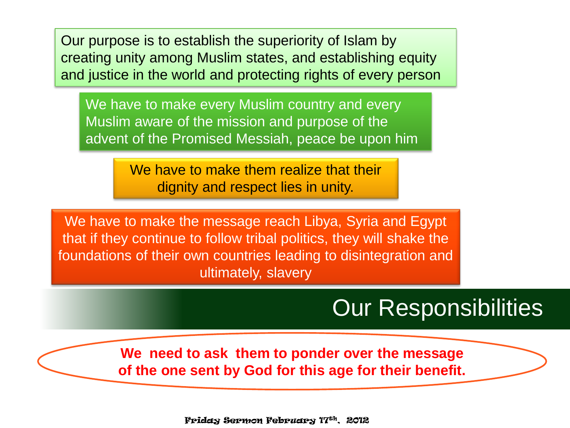Our purpose is to establish the superiority of Islam by creating unity among Muslim states, and establishing equity and justice in the world and protecting rights of every person

We have to make every Muslim country and every Muslim aware of the mission and purpose of the advent of the Promised Messiah, peace be upon him

> We have to make them realize that their dignity and respect lies in unity.

We have to make the message reach Libya, Syria and Egypt that if they continue to follow tribal politics, they will shake the foundations of their own countries leading to disintegration and ultimately, slavery

#### Our Responsibilities

**We need to ask them to ponder over the message of the one sent by God for this age for their benefit.**